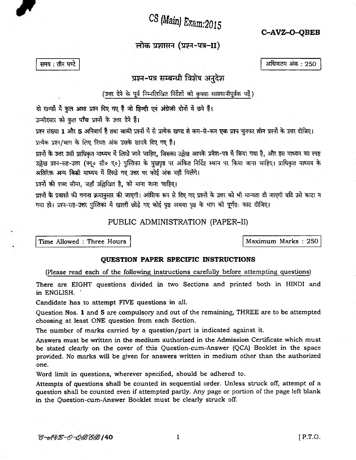CS (Main) Exam: 2015

C-AVZ-O-OBEB

लोक प्रशासन (प्रश्न-पत्र–II)

अधिकतम अंक : 250

समय: तीन घण्टे

## प्रश्न-पत्र सम्बन्धी विशेष अनुदेश

(उत्तर देने के पूर्व निम्नलिखित निर्देशों को कृपया सावधानीपूर्वक पढ़ें)

दो खण्डों में कुल आठ प्रश्न दिए गए हैं जो हिन्दी एवं अंग्रेजी दोनों में छपे हैं।

<span id="page-0-0"></span>उम्मीदवार को कल पाँच प्रश्नों के उत्तर देने हैं।

प्रश्न संख्या 1 और 5 अनिवार्य हैं तथा बाकी प्रश्नों में से प्रत्येक खण्ड से कम-से-कम एक प्रश्न चुनकर तीन प्रश्नों के उत्तर दीजिए। प्रत्येक प्रश्न/भाग के लिए नियत अंक उसके सामने दिए गए हैं।

प्रश्नों के उत्तर उसी प्राधिकृत माध्यम में लिखे जाने चाहिए, जिसका उल्लेख आपके प्रवेश-पत्र में किया गया है, और इस माध्यम का स्पष्ट उल्लेख प्रश्न-सह-उत्तर (क्यू० सी० ए०) पुस्तिका के मुखपृष्ठ पर अंकित निर्दिष्ट स्थान पर किया जाना चाहिए। प्राधिकृत माध्यम के अतिरिक्त अन्य किसी माध्यम में लिखे गए उत्तर पर कोई अंक नहीं मिलेंगे।

प्रश्नों की शब्द सीमा, जहाँ उल्लिखित है, को माना जाना चाहिए।

प्रश्नों के प्रयासों की गणना क्रमानुसार की जाएगी। आंशिक रूप से दिए गए प्रश्नों के उत्तर को भी मान्यता दी जाएगी यदि उसे काटा न गया हो। प्रश्न-सह-उत्तर पुस्तिका में खाली छोड़े गए कोई पृष्ठ अथवा पृष्ठ के भाग को पूर्णतः काट दीजिए।

PUBLIC ADMINISTRATION (PAPER-II)

Time Allowed : Three Hours

## QUESTION PAPER SPECIFIC INSTRUCTIONS

## (Please read each of the following instructions carefully before attempting questions)

There are EIGHT questions divided in two Sections and printed both in HINDI and in ENGLISH.

Candidate has to attempt FIVE questions in all.

Ouestion Nos. 1 and 5 are compulsory and out of the remaining, THREE are to be attempted choosing at least ONE question from each Section.

The number of marks carried by a question/part is indicated against it.

Answers must be written in the medium authorized in the Admission Certificate which must be stated clearly on the cover of this Question-cum-Answer (QCA) Booklet in the space provided. No marks will be given for answers written in medium other than the authorized one.

Word limit in questions, wherever specified, should be adhered to.

Attempts of questions shall be counted in sequential order. Unless struck off, attempt of a question shall be counted even if attempted partly. Any page or portion of the page left blank in the Question-cum-Answer Booklet must be clearly struck off.

 $\mathbf{1}$ 

Maximum Marks: 250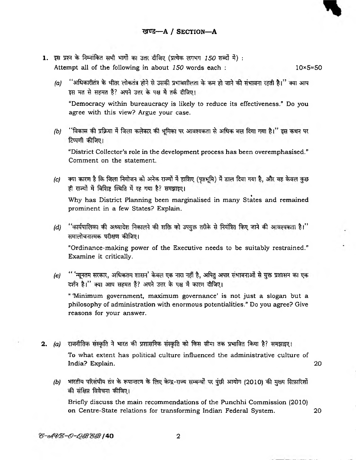- 1. इस प्रश्न के निम्नांकित सभी भागों का उत्तर दीजिए (प्रत्येक लगभग 150 शब्दों में) : Attempt all of the following in about *150* words each : 10×5=50
	- *(a)* " sffa+iflctt % 'dWu 3 W ^ft'ddl T^cft *WU \$m* इस मत से सहमत हैं? अपने उत्तर के पक्ष में तर्क दीजिए।

"Democracy within bureaucracy is likely to reduce its effectiveness." Do you agree with this view? Argue your case.

*(b)* ''विकास की प्रक्रिया में जिला कलेक्टर की भूमिका पर आवश्यकता से अधिक बल दिया गया है।'' इस कथन पर टिप्पणी कीजिए।

"District Collector's role in the development process has been overemphasised." Comment on the statement.

*(c)* क्या कारण है कि जिला नियोजन को अनेक राज्यों में हाशिए (पृष्ठभूमि) में डाल दिया गया है, और वह केवल कुछ ही राज्यों में विशिष्ट स्थिति में रह गया है? समझाइए।

 $\overline{a}$   $\overline{a}$   $\overline{a}$   $\overline{a}$   $\overline{a}$   $\overline{a}$   $\overline{a}$   $\overline{a}$   $\overline{a}$   $\overline{a}$   $\overline{a}$   $\overline{a}$   $\overline{a}$   $\overline{a}$   $\overline{a}$   $\overline{a}$   $\overline{a}$   $\overline{a}$   $\overline{a}$   $\overline{a}$   $\overline{a}$   $\overline{a}$   $\overline{a}$   $\overline{a}$   $\overline{$ Why has District Planning been marginalised in many States and remained prominent in a few States? Explain.

*(d)* "कार्यपालिका की अध्यादेश निकालने की शक्ति को उपयुक्त तरीके से नियंत्रित किए जाने की आवश्यकता है।" समालोचनात्मक परीक्षण कीजिए।

"Ordinance-making power of the Executive needs to be suitably restrained." Examine it critically.

*(e)* " 'न्यूनतम सरकार, अधिकतम शासन' केवल एक नारा नहीं है, अपितु अपार संभावनाओं से युक्त प्रशासन का एक दर्शन है।" क्या आप सहमत हैं? अपने उत्तर के पक्ष में कारण दीजिए।

" 'Minimum government, maximum governance' is not just a slogan but a philosophy of administration with enormous potentialities." Do you agree? Give reasons for your answer.

<span id="page-1-0"></span>2. (a) राजनीतिक संस्कृति ने भारत की प्रशासनिक संस्कृति को किस सीमा तक प्रभावित किया है? समझाइए। To what extent has political culture influenced the administrative culture of India? Explain. 20

*(b)* भारतीय परिसंघीय तंत्र के रूपान्तरण के लिए केन्द्र-राज्य सम्बन्धों पर पुंछी आयोग (2010) की मुख्य सिफ़ारिशों की संक्षिप्त विवेचना कीजिए।

Briefly discuss the main recommendations of the Punchhi Commission (2010) on Centre-State relations for transforming Indian Federal System. 20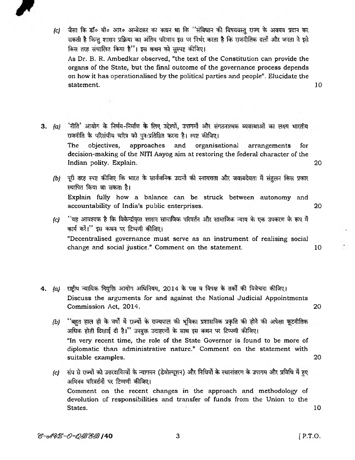

*(c)* जैसा कि डॉ॰ बी॰ आर॰ अम्बेदकर का कथन था कि ''संविधान की विषयवस्तु राज्य के अवयव प्रदान कर सकती है किन्तु शासन प्रक्रिया का अंतिम परिणाम इस पर निर्भर करता है कि राजनीतिक दलों और जनता ने इसे किस तरह संचालित किया है"। इस कथन को सस्पष्ट कीजिए।

As Dr. B. R. Ambedkar observed, "the text of the Constitution can provide the organs of the State, but the final outcome of the governance process depends on how it has operationalised by the political parties and people". Elucidate the  ${\bf statement.} \hspace{2cm} 10$ 

- 3. (a) 'नीति' आयोग के निर्णय-निर्माण के लिए उद्देश्यों, उपागमों और संगठनात्मक व्यवस्थाओं का लक्ष्य भारतीय राजनीति के परिसंघीय चरित्र को पुनःप्रतिष्ठित करना है। स्पष्ट कीजिए। The objectives, approaches and organisational arrangements for decision-making of the NITI Aayog aim at restoring the federal character of the Indian polity. Explain. 20
	- *(b)* पूरी तरह स्पष्ट कीजिए कि भारत के सार्वजनिक उद्यमों की स्वायत्तता और जवाबदेयता में संतुलन किस प्रकार स्थापित किया जा सकता है। Explain fully how a balance can be struck between autonomy and accountability of India's public enterprises. 20
	- *(c)* ''यह आवश्यक है कि विकेन्द्रीकृत शासन सामाजिक परिवर्तन और सामाजिक न्याय के एक उपकरण के रूप में कार्य करें।" इस कथन पर टिप्पणी कीजिए। "Decentralised governance must serve as an instrument of realising social change and social justice." Comment on the statement. 10
- 4. (a) राष्ट्रीय न्यायिक नियुक्ति आयोग अधिनियम, 2014 के पक्ष व विपक्ष के तर्कों की विवेचना कीजिए। Discuss the arguments for and against the National Judicial Appointments Commission Act, 2014. 20
	- *(b)* "बहुत हाल ही के वर्षों में राज्यों के राज्यपाल की भूमिका प्रशासनिक प्रकृति की होने की अपेक्षा कूटनीतिक अधिक होती दिखाई दी है।" उपयुक्त उदाहरणों के साथ इस कथन पर टिप्पणी कीजिए। "In very recent time, the role of the State Governor is found to be more of diplomatic than administrative nature." Comment on the statement with suitable examples. 20
	- *(c)* संघ से राज्यों को उत्तरदायित्वों के न्यागमन (डेवोल्यूशन) और निधियों के स्थानांतरण के उपागम और प्रविधि में हुए अभिनव परिवर्तनों पर टिप्पणी कीजिए। Comment on the recent changes in the approach and methodology of devolution of responsibilities and transfer of funds from the Union to the States. 10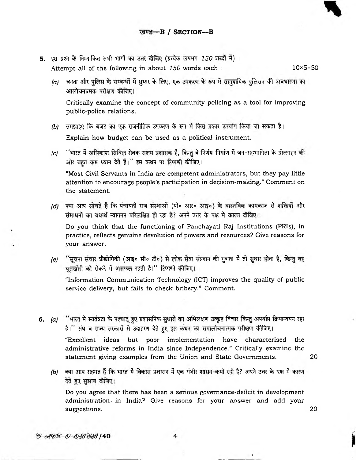- 5. इस प्रश्न के निम्नांकित सभी भागों का उत्तर दीजिए (प्रत्येक लगभग 150 शब्दों में) : Attempt all of the following in about  $150$  words each :  $10 \times 5 = 50$ 
	- $(a)$  जनता और पुलिस के सम्बन्धों में सुधार के लिए, एक उपकरण के रूप में सामुदायिक पुलिसन की अवधारणा का अालोचनात्मक परीक्षण कीजिए।

Critically examine the concept of community policing as a tool for improving public-police relations.

- *(b)* समझाइए कि बजट का एक राजनीतिक उपकरण के रूप में किस प्रकार उपयोग किया जा सकता है। Explain how budget can be used as a political instrument.
- *(c)* ''भारत में अधिकांश सिविल सेवक सक्षम प्रशासक हैं, किन्तु वे निर्णय-निर्माण में जन-सहभागिता के प्रोत्साहन की ओर बहत कम ध्यान देते हैं।" इस कथन पर टिप्पणी कीजिए।

"Most Civil Servants in India are competent administrators, but they pay little attention to encourage people's participation in decision-making." Comment on the statement.

*(d)* क्या अाप सोचते हैं कि पंचायती राज संस्थाओं (पी० आर० आइ०) के वास्तविक कामकाज से शक्तियों और संसाधनों का यथार्थ न्यागमन परिलक्षित हो रहा है? अपने उत्तर के पक्ष में कारण दीजिए।

Do you think that the functioning of Panchayati Raj Institutions (PRIs), in practice, reflects genuine devolution of powers and resources? Give reasons for your answer.

*(e)* ''सूचना संचार प्रौद्योगिकी (आइ० सी० टी०) से लोक सेवा संप्रदान की गुणता में तो सुधार होता है, किन्तु वह घुसखोरी को रोकने में असफल रहती है।'' टिप्पणी कीजिए।

"Information Communication Technology (ICT) improves the quality of public servicc delivery, but fails to check bribery." Comment.

- 6. (a) <sup>''</sup>भारत में स्वतंत्रता के पश्चात् हुए प्रशासनिक सुधारों का अभिलक्षण उत्कृष्ट विचार किन्तु अपर्याप्त क्रियान्वयन रहा है।'' संघ व राज्य सरकारों से उदाहरण देते हुए इस कथन का समालोचनात्मक परीक्षण कीजिए। "Excellent ideas but poor implementation have characterised the administrative reforms in India since Independence." Critically examine the statement giving examples from the Union and State Governments. 20
	- *(b)* क्या आप सहमत हैं कि भारत में विकास प्रशासन में एक गंभीर शासन-कमी रही है? अपने उत्तर के पक्ष में कारण देते हुए सुझाव दीजिए।

Do you agree that there has been a serious governance-deficit in development administration in India? Give reasons for your answer and add your suggestions. 20